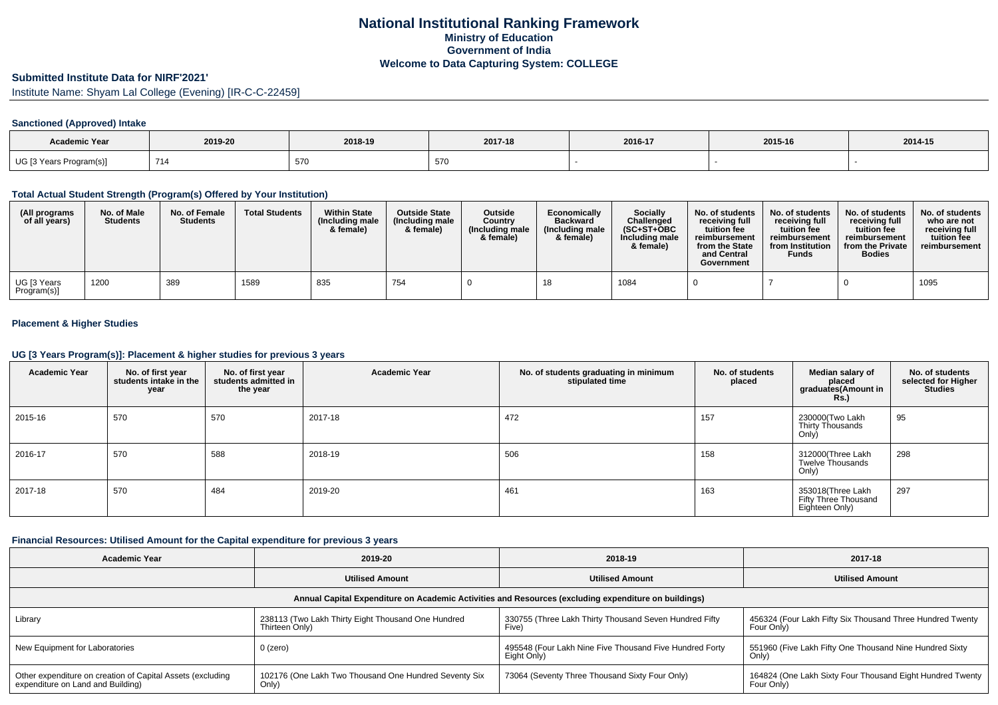# **Submitted Institute Data for NIRF'2021'**

Institute Name: Shyam Lal College (Evening) [IR-C-C-22459]

## **Sanctioned (Approved) Intake**

| <b>Academic Year</b>    | 2019-20  | 2018-19 | 2017-18 | 2016-17 | 2015-16 | 2014-15 |
|-------------------------|----------|---------|---------|---------|---------|---------|
| UG [3 Years Program(s)] | 714<br>. | 570     | 570     |         |         |         |

### **Total Actual Student Strength (Program(s) Offered by Your Institution)**

| (All programs<br>of all years) | No. of Male<br><b>Students</b> | No. of Female<br><b>Students</b> | <b>Total Students</b> | <b>Within State</b><br>(Including male<br>& female) | <b>Outside State</b><br>(Including male<br>& female) | <b>Outside</b><br>Country<br>(Including male<br>& female) | Economically<br><b>Backward</b><br>(Including male<br>& female) | <b>Socially</b><br>Challenged<br>$(SC+ST+OBC)$<br>Including male<br>& female) | No. of students<br>receiving full<br>tuition fee<br>reimbursement<br>from the State<br>and Central<br>Government | No. of students<br>receiving full<br>tuition fee<br>reimbursement<br>from Institution<br>Funds | No. of students<br>receiving full<br>tuition fee<br>reimbursement<br>from the Private<br><b>Bodies</b> | No. of students<br>who are not<br>receiving full<br>tuition fee<br>reimbursement |
|--------------------------------|--------------------------------|----------------------------------|-----------------------|-----------------------------------------------------|------------------------------------------------------|-----------------------------------------------------------|-----------------------------------------------------------------|-------------------------------------------------------------------------------|------------------------------------------------------------------------------------------------------------------|------------------------------------------------------------------------------------------------|--------------------------------------------------------------------------------------------------------|----------------------------------------------------------------------------------|
| UG [3 Years<br>Program(s)]     | 1200                           | 389                              | 1589                  | 835                                                 | 754                                                  |                                                           |                                                                 | 1084                                                                          |                                                                                                                  |                                                                                                |                                                                                                        | 1095                                                                             |

## **Placement & Higher Studies**

#### **UG [3 Years Program(s)]: Placement & higher studies for previous 3 years**

| <b>Academic Year</b> | No. of first year<br>students intake in the<br>year | No. of first year<br>students admitted in<br>the year | <b>Academic Year</b> | No. of students graduating in minimum<br>stipulated time | No. of students<br>placed | Median salary of<br>placed<br>graduates(Amount in<br><b>Rs.</b> ) | No. of students<br>selected for Higher<br>Studies |
|----------------------|-----------------------------------------------------|-------------------------------------------------------|----------------------|----------------------------------------------------------|---------------------------|-------------------------------------------------------------------|---------------------------------------------------|
| 2015-16              | 570                                                 | 570                                                   | 2017-18              | 472                                                      | 157                       | 230000(Two Lakh<br>Thirty Thousands<br>Only)                      | 95                                                |
| 2016-17              | 570                                                 | 588                                                   | 2018-19              | 506                                                      | 158                       | 312000(Three Lakh<br>Twelve Thousands<br>Only)                    | 298                                               |
| 2017-18              | 570                                                 | 484                                                   | 2019-20              | 461                                                      | 163                       | 353018(Three Lakh<br>Fifty Three Thousand<br>Eighteen Only)       | 297                                               |

#### **Financial Resources: Utilised Amount for the Capital expenditure for previous 3 years**

| Academic Year                                                                                        | 2019-20                                                              | 2018-19                                                                | 2017-18                                                                 |  |  |  |  |  |  |  |  |
|------------------------------------------------------------------------------------------------------|----------------------------------------------------------------------|------------------------------------------------------------------------|-------------------------------------------------------------------------|--|--|--|--|--|--|--|--|
|                                                                                                      | <b>Utilised Amount</b>                                               | <b>Utilised Amount</b>                                                 | <b>Utilised Amount</b>                                                  |  |  |  |  |  |  |  |  |
| Annual Capital Expenditure on Academic Activities and Resources (excluding expenditure on buildings) |                                                                      |                                                                        |                                                                         |  |  |  |  |  |  |  |  |
| Library                                                                                              | 238113 (Two Lakh Thirty Eight Thousand One Hundred<br>Thirteen Only) | 330755 (Three Lakh Thirty Thousand Seven Hundred Fifty<br>Five)        | 456324 (Four Lakh Fifty Six Thousand Three Hundred Twenty<br>Four Only) |  |  |  |  |  |  |  |  |
| New Equipment for Laboratories                                                                       | $0$ (zero)                                                           | 495548 (Four Lakh Nine Five Thousand Five Hundred Forty<br>Eight Only) | 551960 (Five Lakh Fifty One Thousand Nine Hundred Sixty<br>Only)        |  |  |  |  |  |  |  |  |
| Other expenditure on creation of Capital Assets (excluding<br>expenditure on Land and Building)      | 102176 (One Lakh Two Thousand One Hundred Seventy Six<br>Only)       | 73064 (Seventy Three Thousand Sixty Four Only)                         | 164824 (One Lakh Sixty Four Thousand Eight Hundred Twenty<br>Four Only) |  |  |  |  |  |  |  |  |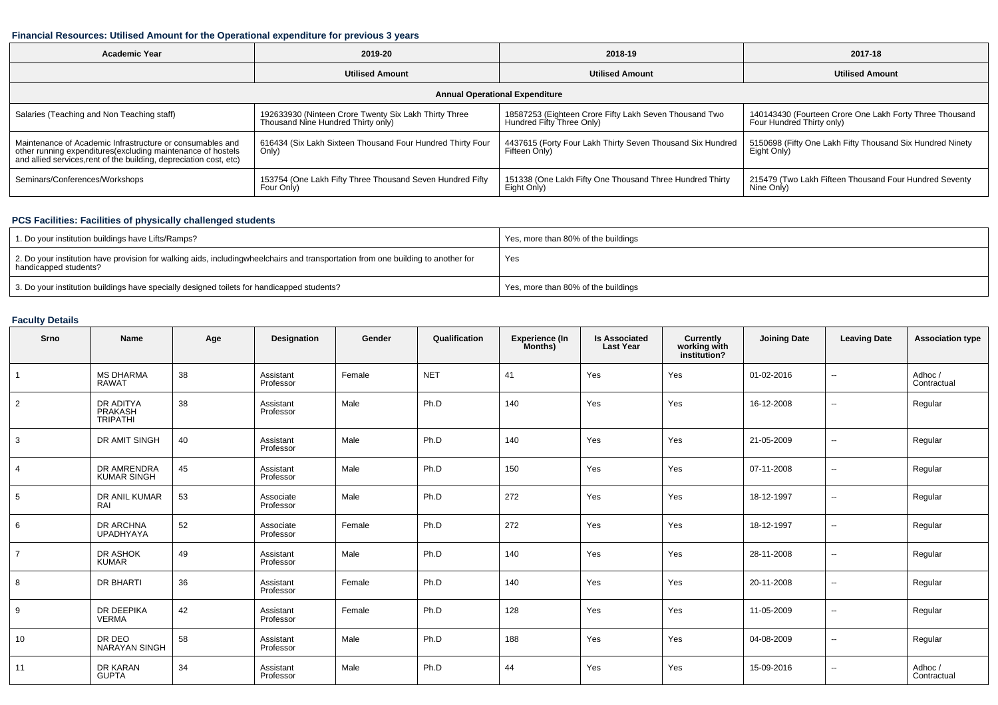### **Financial Resources: Utilised Amount for the Operational expenditure for previous 3 years**

| <b>Academic Year</b>                                                                                                              | 2019-20                                                    | 2018-19                                                    | 2017-18                                                   |  |  |  |  |  |  |  |  |
|-----------------------------------------------------------------------------------------------------------------------------------|------------------------------------------------------------|------------------------------------------------------------|-----------------------------------------------------------|--|--|--|--|--|--|--|--|
|                                                                                                                                   | <b>Utilised Amount</b>                                     | <b>Utilised Amount</b>                                     | <b>Utilised Amount</b>                                    |  |  |  |  |  |  |  |  |
| <b>Annual Operational Expenditure</b>                                                                                             |                                                            |                                                            |                                                           |  |  |  |  |  |  |  |  |
| Salaries (Teaching and Non Teaching staff)                                                                                        | 192633930 (Ninteen Crore Twenty Six Lakh Thirty Three      | 18587253 (Eighteen Crore Fifty Lakh Seven Thousand Two     | 140143430 (Fourteen Crore One Lakh Forty Three Thousand   |  |  |  |  |  |  |  |  |
|                                                                                                                                   | Thousand Nine Hundred Thirty only)                         | Hundred Fifty Three Only)                                  | Four Hundred Thirty only)                                 |  |  |  |  |  |  |  |  |
| Maintenance of Academic Infrastructure or consumables and                                                                         | 616434 (Six Lakh Sixteen Thousand Four Hundred Thirty Four | 4437615 (Forty Four Lakh Thirty Seven Thousand Six Hundred | 5150698 (Fifty One Lakh Fifty Thousand Six Hundred Ninety |  |  |  |  |  |  |  |  |
| other running expenditures(excluding maintenance of hostels<br>and allied services, rent of the building, depreciation cost, etc) | Only)                                                      | Fifteen Only)                                              | Eight Only)                                               |  |  |  |  |  |  |  |  |
| Seminars/Conferences/Workshops                                                                                                    | 153754 (One Lakh Fifty Three Thousand Seven Hundred Fifty  | 151338 (One Lakh Fifty One Thousand Three Hundred Thirty   | 215479 (Two Lakh Fifteen Thousand Four Hundred Seventy    |  |  |  |  |  |  |  |  |
|                                                                                                                                   | Four Only)                                                 | Eight Only)                                                | Nine Only)                                                |  |  |  |  |  |  |  |  |

## **PCS Facilities: Facilities of physically challenged students**

| 1. Do your institution buildings have Lifts/Ramps?                                                                                                        | Yes, more than 80% of the buildings |
|-----------------------------------------------------------------------------------------------------------------------------------------------------------|-------------------------------------|
| 2. Do your institution have provision for walking aids, includingwheelchairs and transportation from one building to another for<br>handicapped students? | Yes                                 |
| 3. Do your institution buildings have specially designed toilets for handicapped students?                                                                | Yes, more than 80% of the buildings |

## **Faculty Details**

| Srno           | Name                                    | Age | Designation            | Gender | Qualification | <b>Experience (In</b><br>Months) | <b>Is Associated</b><br><b>Last Year</b> | <b>Currently<br/>working with<br/>institution?</b> | <b>Joining Date</b> | <b>Leaving Date</b>      | <b>Association type</b> |
|----------------|-----------------------------------------|-----|------------------------|--------|---------------|----------------------------------|------------------------------------------|----------------------------------------------------|---------------------|--------------------------|-------------------------|
|                | <b>MS DHARMA</b><br><b>RAWAT</b>        | 38  | Assistant<br>Professor | Female | <b>NET</b>    | 41                               | Yes                                      | Yes                                                | 01-02-2016          | --                       | Adhoc/<br>Contractual   |
| $\overline{2}$ | DR ADITYA<br>PRAKASH<br><b>TRIPATHI</b> | 38  | Assistant<br>Professor | Male   | Ph.D          | 140                              | Yes                                      | Yes                                                | 16-12-2008          | $\overline{\phantom{a}}$ | Regular                 |
| 3              | DR AMIT SINGH                           | 40  | Assistant<br>Professor | Male   | Ph.D          | 140                              | Yes                                      | Yes                                                | 21-05-2009          | $\overline{\phantom{a}}$ | Regular                 |
|                | DR AMRENDRA<br>KUMAR SINGH              | 45  | Assistant<br>Professor | Male   | Ph.D          | 150                              | Yes                                      | Yes                                                | 07-11-2008          | $\overline{\phantom{a}}$ | Regular                 |
| 5              | DR ANIL KUMAR<br>RAI                    | 53  | Associate<br>Professor | Male   | Ph.D          | 272                              | Yes                                      | Yes                                                | 18-12-1997          | $\overline{\phantom{a}}$ | Regular                 |
| 6              | DR ARCHNA<br>UPADHYAYA                  | 52  | Associate<br>Professor | Female | Ph.D          | 272                              | Yes                                      | Yes                                                | 18-12-1997          | $\overline{\phantom{a}}$ | Regular                 |
| $\overline{7}$ | DR ASHOK<br><b>KUMAR</b>                | 49  | Assistant<br>Professor | Male   | Ph.D          | 140                              | Yes                                      | Yes                                                | 28-11-2008          | $\overline{\phantom{a}}$ | Regular                 |
| 8              | DR BHARTI                               | 36  | Assistant<br>Professor | Female | Ph.D          | 140                              | Yes                                      | Yes                                                | 20-11-2008          | $\overline{\phantom{a}}$ | Regular                 |
| 9              | DR DEEPIKA<br><b>VERMA</b>              | 42  | Assistant<br>Professor | Female | Ph.D          | 128                              | Yes                                      | Yes                                                | 11-05-2009          | $\overline{\phantom{a}}$ | Regular                 |
| 10             | DR DEO<br><b>NARAYAN SINGH</b>          | 58  | Assistant<br>Professor | Male   | Ph.D          | 188                              | Yes                                      | Yes                                                | 04-08-2009          | $\overline{\phantom{a}}$ | Regular                 |
| 11             | DR KARAN<br><b>GUPTA</b>                | 34  | Assistant<br>Professor | Male   | Ph.D          | 44                               | Yes                                      | Yes                                                | 15-09-2016          | $\overline{\phantom{a}}$ | Adhoc/<br>Contractual   |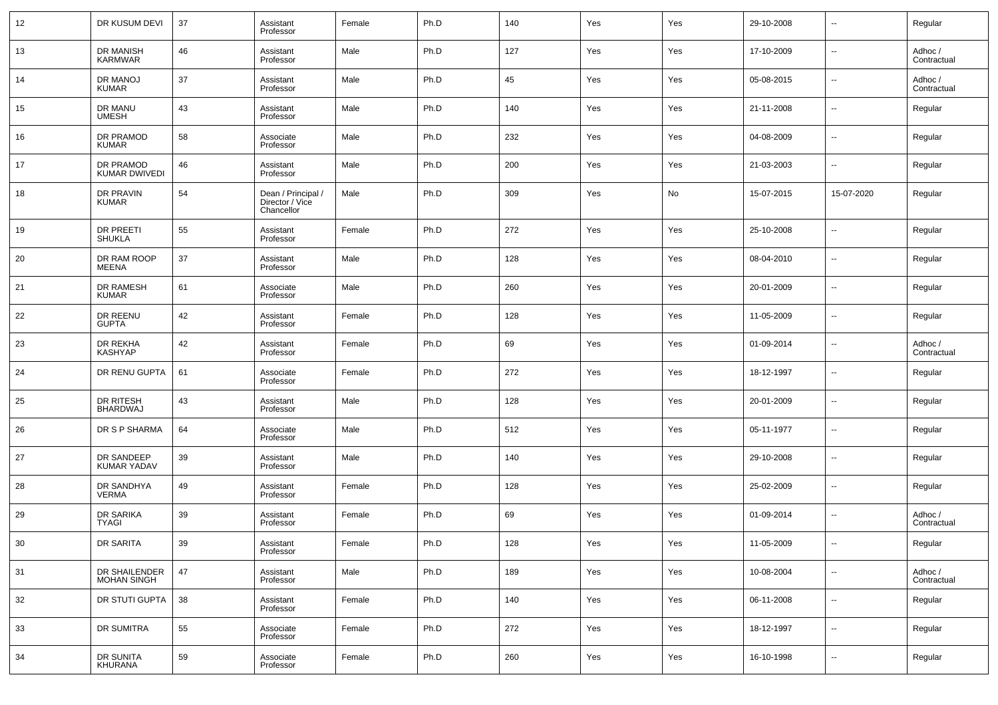| 12 | DR KUSUM DEVI                     | 37 | Assistant<br>Professor                              | Female | Ph.D | 140 | Yes | Yes | 29-10-2008 | $\overline{\phantom{a}}$ | Regular                |
|----|-----------------------------------|----|-----------------------------------------------------|--------|------|-----|-----|-----|------------|--------------------------|------------------------|
| 13 | DR MANISH<br>KARMWAR              | 46 | Assistant<br>Professor                              | Male   | Ph.D | 127 | Yes | Yes | 17-10-2009 | $\overline{\phantom{a}}$ | Adhoc /<br>Contractual |
| 14 | DR MANOJ<br><b>KUMAR</b>          | 37 | Assistant<br>Professor                              | Male   | Ph.D | 45  | Yes | Yes | 05-08-2015 | $\overline{\phantom{a}}$ | Adhoc /<br>Contractual |
| 15 | DR MANU<br><b>UMESH</b>           | 43 | Assistant<br>Professor                              | Male   | Ph.D | 140 | Yes | Yes | 21-11-2008 | $\overline{\phantom{a}}$ | Regular                |
| 16 | DR PRAMOD<br><b>KUMAR</b>         | 58 | Associate<br>Professor                              | Male   | Ph.D | 232 | Yes | Yes | 04-08-2009 | $\overline{\phantom{a}}$ | Regular                |
| 17 | DR PRAMOD<br><b>KUMAR DWIVEDI</b> | 46 | Assistant<br>Professor                              | Male   | Ph.D | 200 | Yes | Yes | 21-03-2003 | $\overline{\phantom{a}}$ | Regular                |
| 18 | DR PRAVIN<br><b>KUMAR</b>         | 54 | Dean / Principal /<br>Director / Vice<br>Chancellor | Male   | Ph.D | 309 | Yes | No  | 15-07-2015 | 15-07-2020               | Regular                |
| 19 | <b>DR PREETI</b><br><b>SHUKLA</b> | 55 | Assistant<br>Professor                              | Female | Ph.D | 272 | Yes | Yes | 25-10-2008 | $\sim$                   | Regular                |
| 20 | DR RAM ROOP<br><b>MEENA</b>       | 37 | Assistant<br>Professor                              | Male   | Ph.D | 128 | Yes | Yes | 08-04-2010 | $\sim$                   | Regular                |
| 21 | DR RAMESH<br><b>KUMAR</b>         | 61 | Associate<br>Professor                              | Male   | Ph.D | 260 | Yes | Yes | 20-01-2009 | $\sim$                   | Regular                |
| 22 | DR REENU<br><b>GUPTA</b>          | 42 | Assistant<br>Professor                              | Female | Ph.D | 128 | Yes | Yes | 11-05-2009 | $\overline{\phantom{a}}$ | Regular                |
| 23 | DR REKHA<br><b>KASHYAP</b>        | 42 | Assistant<br>Professor                              | Female | Ph.D | 69  | Yes | Yes | 01-09-2014 | $\sim$                   | Adhoc /<br>Contractual |
| 24 | DR RENU GUPTA                     | 61 | Associate<br>Professor                              | Female | Ph.D | 272 | Yes | Yes | 18-12-1997 | $\sim$                   | Regular                |
| 25 | DR RITESH<br><b>BHARDWAJ</b>      | 43 | Assistant<br>Professor                              | Male   | Ph.D | 128 | Yes | Yes | 20-01-2009 | $\sim$                   | Regular                |
| 26 | DR S P SHARMA                     | 64 | Associate<br>Professor                              | Male   | Ph.D | 512 | Yes | Yes | 05-11-1977 | $\overline{\phantom{a}}$ | Regular                |
| 27 | DR SANDEEP<br>KUMAR YADAV         | 39 | Assistant<br>Professor                              | Male   | Ph.D | 140 | Yes | Yes | 29-10-2008 | $\sim$                   | Regular                |
| 28 | DR SANDHYA<br><b>VERMA</b>        | 49 | Assistant<br>Professor                              | Female | Ph.D | 128 | Yes | Yes | 25-02-2009 | $\overline{\phantom{a}}$ | Regular                |
| 29 | DR SARIKA<br><b>TYAGI</b>         | 39 | Assistant<br>Professor                              | Female | Ph.D | 69  | Yes | Yes | 01-09-2014 | $\overline{\phantom{a}}$ | Adhoc /<br>Contractual |
| 30 | DR SARITA                         | 39 | Assistant<br>Professor                              | Female | Ph.D | 128 | Yes | Yes | 11-05-2009 |                          | Regular                |
| 31 | DR SHAILENDER<br>MOHAN SINGH      | 47 | Assistant<br>Professor                              | Male   | Ph.D | 189 | Yes | Yes | 10-08-2004 | $\overline{\phantom{a}}$ | Adhoc /<br>Contractual |
| 32 | DR STUTI GUPTA                    | 38 | Assistant<br>Professor                              | Female | Ph.D | 140 | Yes | Yes | 06-11-2008 | $\overline{\phantom{a}}$ | Regular                |
| 33 | DR SUMITRA                        | 55 | Associate<br>Professor                              | Female | Ph.D | 272 | Yes | Yes | 18-12-1997 | $\overline{\phantom{a}}$ | Regular                |
| 34 | DR SUNITA<br>KHURANA              | 59 | Associate<br>Professor                              | Female | Ph.D | 260 | Yes | Yes | 16-10-1998 | $\overline{\phantom{a}}$ | Regular                |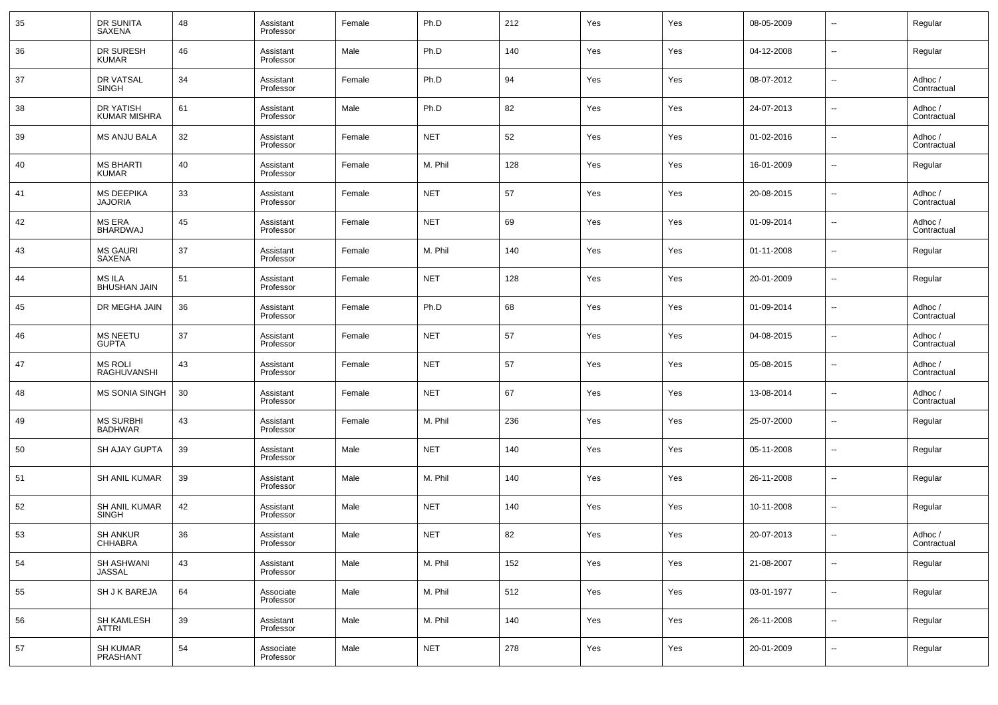| 35 | DR SUNITA<br><b>SAXENA</b>          | 48 | Assistant<br>Professor | Female | Ph.D       | 212 | Yes | Yes | 08-05-2009 | $\overline{\phantom{a}}$ | Regular                |
|----|-------------------------------------|----|------------------------|--------|------------|-----|-----|-----|------------|--------------------------|------------------------|
| 36 | DR SURESH<br><b>KUMAR</b>           | 46 | Assistant<br>Professor | Male   | Ph.D       | 140 | Yes | Yes | 04-12-2008 | $\overline{\phantom{a}}$ | Regular                |
| 37 | DR VATSAL<br><b>SINGH</b>           | 34 | Assistant<br>Professor | Female | Ph.D       | 94  | Yes | Yes | 08-07-2012 | $\overline{\phantom{a}}$ | Adhoc /<br>Contractual |
| 38 | DR YATISH<br><b>KUMAR MISHRA</b>    | 61 | Assistant<br>Professor | Male   | Ph.D       | 82  | Yes | Yes | 24-07-2013 | $\overline{\phantom{a}}$ | Adhoc /<br>Contractual |
| 39 | MS ANJU BALA                        | 32 | Assistant<br>Professor | Female | <b>NET</b> | 52  | Yes | Yes | 01-02-2016 | $\overline{\phantom{a}}$ | Adhoc /<br>Contractual |
| 40 | <b>MS BHARTI</b><br><b>KUMAR</b>    | 40 | Assistant<br>Professor | Female | M. Phil    | 128 | Yes | Yes | 16-01-2009 | $\overline{\phantom{a}}$ | Regular                |
| 41 | <b>MS DEEPIKA</b><br><b>JAJORIA</b> | 33 | Assistant<br>Professor | Female | <b>NET</b> | 57  | Yes | Yes | 20-08-2015 | $\overline{\phantom{a}}$ | Adhoc /<br>Contractual |
| 42 | <b>MS ERA</b><br><b>BHARDWAJ</b>    | 45 | Assistant<br>Professor | Female | <b>NET</b> | 69  | Yes | Yes | 01-09-2014 | $\overline{\phantom{a}}$ | Adhoc /<br>Contractual |
| 43 | <b>MS GAURI</b><br>SAXENA           | 37 | Assistant<br>Professor | Female | M. Phil    | 140 | Yes | Yes | 01-11-2008 | $\overline{\phantom{a}}$ | Regular                |
| 44 | MS ILA<br><b>BHUSHAN JAIN</b>       | 51 | Assistant<br>Professor | Female | <b>NET</b> | 128 | Yes | Yes | 20-01-2009 | $\overline{\phantom{a}}$ | Regular                |
| 45 | DR MEGHA JAIN                       | 36 | Assistant<br>Professor | Female | Ph.D       | 68  | Yes | Yes | 01-09-2014 | $\overline{\phantom{a}}$ | Adhoc /<br>Contractual |
| 46 | <b>MS NEETU</b><br><b>GUPTA</b>     | 37 | Assistant<br>Professor | Female | <b>NET</b> | 57  | Yes | Yes | 04-08-2015 | $\overline{\phantom{a}}$ | Adhoc /<br>Contractual |
| 47 | <b>MS ROLI</b><br>RAGHUVANSHI       | 43 | Assistant<br>Professor | Female | <b>NET</b> | 57  | Yes | Yes | 05-08-2015 | $\overline{\phantom{a}}$ | Adhoc /<br>Contractual |
| 48 | <b>MS SONIA SINGH</b>               | 30 | Assistant<br>Professor | Female | <b>NET</b> | 67  | Yes | Yes | 13-08-2014 | $\overline{\phantom{a}}$ | Adhoc /<br>Contractual |
| 49 | <b>MS SURBHI</b><br><b>BADHWAR</b>  | 43 | Assistant<br>Professor | Female | M. Phil    | 236 | Yes | Yes | 25-07-2000 | $\overline{\phantom{a}}$ | Regular                |
| 50 | SH AJAY GUPTA                       | 39 | Assistant<br>Professor | Male   | <b>NET</b> | 140 | Yes | Yes | 05-11-2008 | $\overline{\phantom{a}}$ | Regular                |
| 51 | <b>SH ANIL KUMAR</b>                | 39 | Assistant<br>Professor | Male   | M. Phil    | 140 | Yes | Yes | 26-11-2008 | $\overline{\phantom{a}}$ | Regular                |
| 52 | SH ANIL KUMAR<br><b>SINGH</b>       | 42 | Assistant<br>Professor | Male   | <b>NET</b> | 140 | Yes | Yes | 10-11-2008 | $\overline{\phantom{a}}$ | Regular                |
| 53 | <b>SH ANKUR</b><br>CHHABRA          | 36 | Assistant<br>Professor | Male   | <b>NET</b> | 82  | Yes | Yes | 20-07-2013 | $\overline{\phantom{a}}$ | Adhoc /<br>Contractual |
| 54 | <b>SH ASHWANI</b><br><b>JASSAL</b>  | 43 | Assistant<br>Professor | Male   | M. Phil    | 152 | Yes | Yes | 21-08-2007 | $\overline{\phantom{a}}$ | Regular                |
| 55 | SH J K BAREJA                       | 64 | Associate<br>Professor | Male   | M. Phil    | 512 | Yes | Yes | 03-01-1977 | $\overline{\phantom{a}}$ | Regular                |
| 56 | SH KAMLESH<br>ATTRI                 | 39 | Assistant<br>Professor | Male   | M. Phil    | 140 | Yes | Yes | 26-11-2008 | ۰.                       | Regular                |
| 57 | SH KUMAR<br>PRASHANT                | 54 | Associate<br>Professor | Male   | <b>NET</b> | 278 | Yes | Yes | 20-01-2009 | ۰.                       | Regular                |